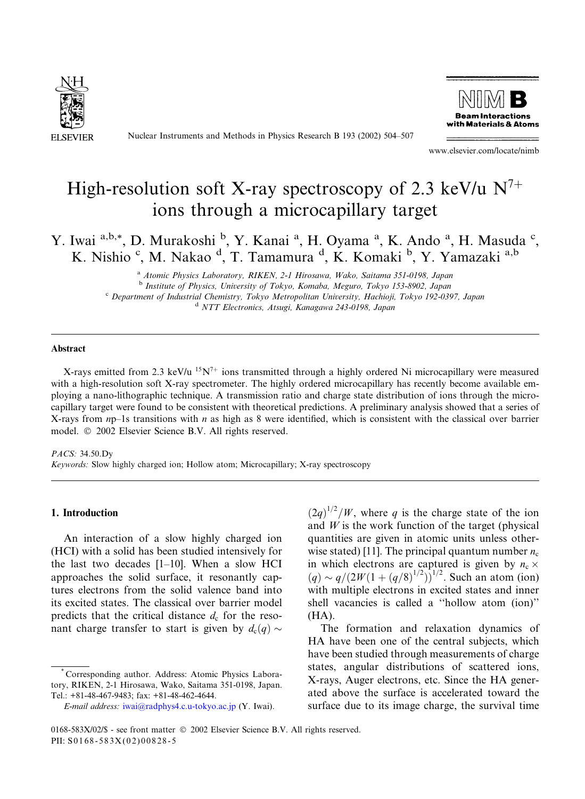

Nuclear Instruments and Methods in Physics Research B 193 (2002) 504–507



www.elsevier.com/locate/nimb

# High-resolution soft X-ray spectroscopy of 2.3 keV/u  $N^{7+}$ ions through a microcapillary target

Y. Iwai a,b,\*, D. Murakoshi b, Y. Kanai a, H. Oyama a, K. Ando a, H. Masuda c, K. Nishio<sup>c</sup>, M. Nakao<sup>d</sup>, T. Tamamura<sup>d</sup>, K. Komaki<sup>b</sup>, Y. Yamazaki<sup>a,b</sup>

> <sup>a</sup> Atomic Physics Laboratory, RIKEN, 2-1 Hirosawa, Wako, Saitama 351-0198, Japan <sup>b</sup> Institute of Physics, University of Tokyo, Komaba, Meguro, Tokyo 153-8902, Japan <sup>c</sup> Department of Industrial Chemistry, Tokyo Metropolitan University, Hachioji, Tokyo 192-0397, Japan <sup>d</sup> NTT Electronics, Atsugi, Kanagawa 243-0198, Japan

#### Abstract

X-rays emitted from 2.3 keV/u  $15N<sup>7+</sup>$  ions transmitted through a highly ordered Ni microcapillary were measured with a high-resolution soft X-ray spectrometer. The highly ordered microcapillary has recently become available employing a nano-lithographic technique. A transmission ratio and charge state distribution of ions through the microcapillary target were found to be consistent with theoretical predictions. A preliminary analysis showed that a series of X-rays from  $np-1s$  transitions with  $n$  as high as 8 were identified, which is consistent with the classical over barrier model.  $\oslash$  2002 Elsevier Science B.V. All rights reserved.

#### PACS: 34.50.Dy

Keywords: Slow highly charged ion; Hollow atom; Microcapillary; X-ray spectroscopy

### 1. Introduction

An interaction of a slow highly charged ion (HCI) with a solid has been studied intensively for the last two decades [1–10]. When a slow HCI approaches the solid surface, it resonantly captures electrons from the solid valence band into its excited states. The classical over barrier model predicts that the critical distance  $d_c$  for the resonant charge transfer to start is given by  $d_c(q) \sim$ 

 $(2q)^{1/2}/W$ , where q is the charge state of the ion and  $W$  is the work function of the target (physical quantities are given in atomic units unless otherwise stated) [11]. The principal quantum number  $n_c$ in which electrons are captured is given by  $n_c \times$  $(q) \sim q/(2W(1 + (q/8)^{1/2}))^{1/2}$ . Such an atom (ion) with multiple electrons in excited states and inner shell vacancies is called a ''hollow atom (ion)'' (HA).

The formation and relaxation dynamics of HA have been one of the central subjects, which have been studied through measurements of charge states, angular distributions of scattered ions, X-rays, Auger electrons, etc. Since the HA generated above the surface is accelerated toward the surface due to its image charge, the survival time

<sup>\*</sup> Corresponding author. Address: Atomic Physics Laboratory, RIKEN, 2-1 Hirosawa, Wako, Saitama 351-0198, Japan. Tel.: +81-48-467-9483; fax: +81-48-462-4644.

E-mail address: [iwai@radphys4.c.u-tokyo.ac.jp](mail to: iwai@radphys4.c.u-tokyo.ac.jp) (Y. Iwai).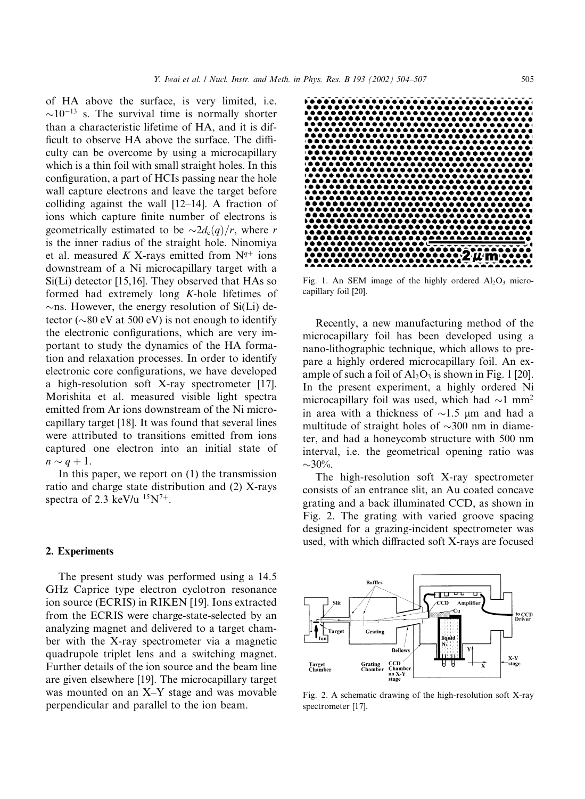than a characteristic lifetime of HA, and it is difficult to observe HA above the surface. The difficulty can be overcome by using a microcapillary which is a thin foil with small straight holes. In this configuration,a part of HCIs passing near the hole wall capture electrons and leave the target before colliding against the wall [12–14]. A fraction of ions which capture finite number of electrons is geometrically estimated to be  $\sim 2d_c(q)/r$ , where r is the inner radius of the straight hole. Ninomiya et al. measured K X-rays emitted from  $N^{q+}$  ions downstream of a Ni microcapillary target with a Si(Li) detector [15,16]. They observed that HAs so formed had extremely long K-hole lifetimes of  $\sim$ ns. However, the energy resolution of Si(Li) detector ( $\sim$ 80 eV at 500 eV) is not enough to identify the electronic configurations, which are very important to study the dynamics of the HA formation and relaxation processes. In order to identify electronic core configurations, we have developed a high-resolution soft X-ray spectrometer [17]. Morishita et al. measured visible light spectra emitted from Ar ions downstream of the Ni microcapillary target [18]. It was found that several lines were attributed to transitions emitted from ions captured one electron into an initial state of  $n \sim q+1$ .

In this paper, we report on  $(1)$  the transmission ratio and charge state distribution and (2) X-rays spectra of 2.3 keV/u  $15N^{7+}$ .

# 2. Experiments

The present study was performed using a 14.5 GHz Caprice type electron cyclotron resonance ion source (ECRIS) in RIKEN [19]. Ions extracted from the ECRIS were charge-state-selected by an analyzing magnet and delivered to a target chamber with the X-ray spectrometer via a magnetic quadrupole triplet lens and a switching magnet. Further details of the ion source and the beam line are given elsewhere [19]. The microcapillary target was mounted on an X–Y stage and was movable perpendicular and parallel to the ion beam.



Fig. 1. An SEM image of the highly ordered  $Al_2O_3$  microcapillary foil [20].

Recently, a new manufacturing method of the microcapillary foil has been developed using a nano-lithographic technique, which allows to prepare a highly ordered microcapillary foil. An example of such a foil of  $Al_2O_3$  is shown in Fig. 1 [20]. In the present experiment, a highly ordered Ni microcapillary foil was used, which had  $\sim$ 1 mm<sup>2</sup> in area with a thickness of  $\sim$ 1.5  $\mu$ m and had a multitude of straight holes of  $\sim$ 300 nm in diameter,and had a honeycomb structure with 500 nm interval, i.e. the geometrical opening ratio was  $\sim 30\%$ .

The high-resolution soft X-ray spectrometer consists of an entrance slit, an Au coated concave grating and a back illuminated CCD, as shown in Fig. 2. The grating with varied groove spacing designed for a grazing-incident spectrometer was used, with which diffracted soft X-rays are focused



Fig. 2. A schematic drawing of the high-resolution soft X-ray spectrometer [17].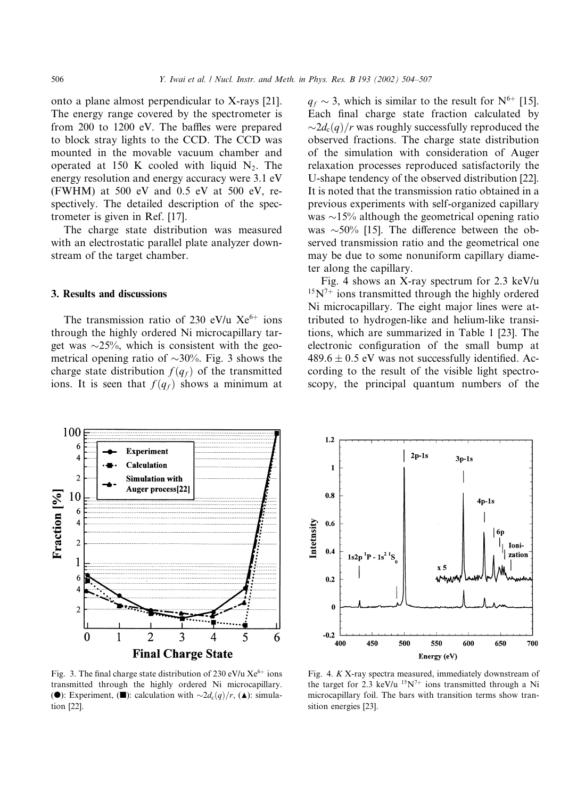onto a plane almost perpendicular to X-rays [21]. The energy range covered by the spectrometer is from 200 to 1200 eV. The baffles were prepared to block stray lights to the CCD. The CCD was mounted in the movable vacuum chamber and operated at 150 K cooled with liquid  $N_2$ . The energy resolution and energy accuracy were 3.1 eV (FWHM) at 500 eV and 0.5 eV at 500 eV, respectively. The detailed description of the spectrometer is given in Ref. [17].

The charge state distribution was measured with an electrostatic parallel plate analyzer downstream of the target chamber.

# 3. Results and discussions

The transmission ratio of 230 eV/u  $Xe^{6+}$  ions through the highly ordered Ni microcapillary target was  $\sim$ 25%, which is consistent with the geometrical opening ratio of  $\sim 30\%$ . Fig. 3 shows the charge state distribution  $f(q_f)$  of the transmitted ions. It is seen that  $f(q_f)$  shows a minimum at

 $q_f \sim 3$ , which is similar to the result for N<sup>6+</sup> [15]. Each final charge state fraction calculated by  $\sim$ 2d<sub>c</sub> $(q)/r$  was roughly successfully reproduced the observed fractions. The charge state distribution of the simulation with consideration of Auger relaxation processes reproduced satisfactorily the U-shape tendency of the observed distribution [22]. It is noted that the transmission ratio obtained in a previous experiments with self-organized capillary was  $\sim$ 15% although the geometrical opening ratio was  $\sim$ 50% [15]. The difference between the observed transmission ratio and the geometrical one may be due to some nonuniform capillary diameter along the capillary.

Fig. 4 shows an X-ray spectrum for 2.3 keV/u  $15N<sup>7+</sup>$  ions transmitted through the highly ordered Ni microcapillary. The eight major lines were attributed to hydrogen-like and helium-like transitions,which are summarized in Table 1 [23]. The electronic configuration of the small bump at  $489.6 \pm 0.5$  eV was not successfully identified. According to the result of the visible light spectroscopy, the principal quantum numbers of the



Fig. 3. The final charge state distribution of 230 eV/u  $Xe^{6+}$  ions transmitted through the highly ordered Ni microcapillary. ( $\bullet$ ): Experiment, ( $\blacksquare$ ): calculation with  $\sim 2d_c(q)/r$ , ( $\blacktriangle$ ): simulation [22].



Fig. 4.  $K X$ -ray spectra measured, immediately downstream of the target for 2.3 keV/u  $15N^{7+}$  ions transmitted through a Ni microcapillary foil. The bars with transition terms show transition energies [23].